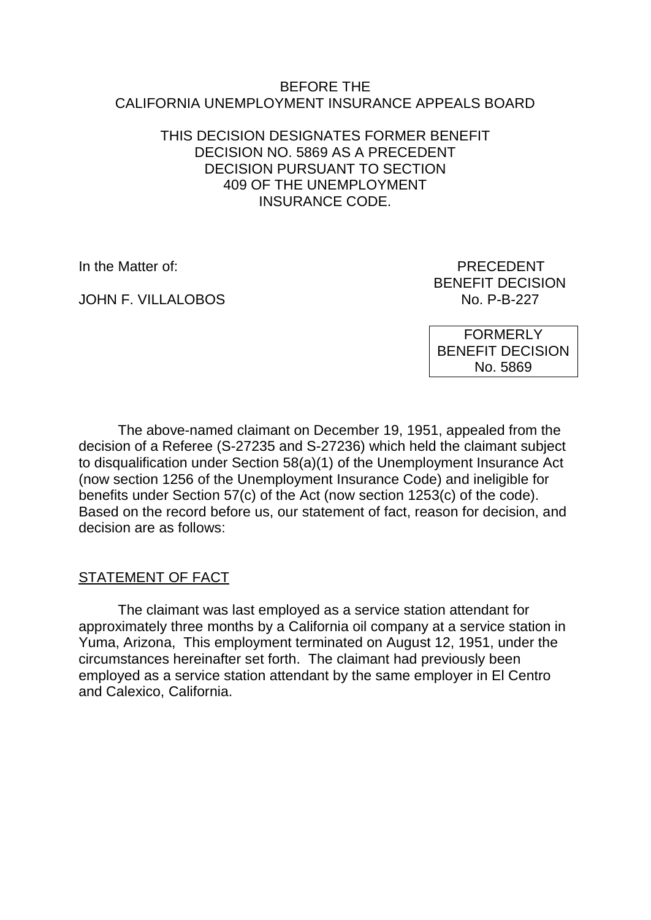#### BEFORE THE CALIFORNIA UNEMPLOYMENT INSURANCE APPEALS BOARD

### THIS DECISION DESIGNATES FORMER BENEFIT DECISION NO. 5869 AS A PRECEDENT DECISION PURSUANT TO SECTION 409 OF THE UNEMPLOYMENT INSURANCE CODE.

JOHN F. VILLALOBOS NO. P-B-227

In the Matter of: PRECEDENT BENEFIT DECISION

> FORMERLY BENEFIT DECISION No. 5869

The above-named claimant on December 19, 1951, appealed from the decision of a Referee (S-27235 and S-27236) which held the claimant subject to disqualification under Section 58(a)(1) of the Unemployment Insurance Act (now section 1256 of the Unemployment Insurance Code) and ineligible for benefits under Section 57(c) of the Act (now section 1253(c) of the code). Based on the record before us, our statement of fact, reason for decision, and decision are as follows:

STATEMENT OF FACT

The claimant was last employed as a service station attendant for approximately three months by a California oil company at a service station in Yuma, Arizona, This employment terminated on August 12, 1951, under the circumstances hereinafter set forth. The claimant had previously been employed as a service station attendant by the same employer in El Centro and Calexico, California.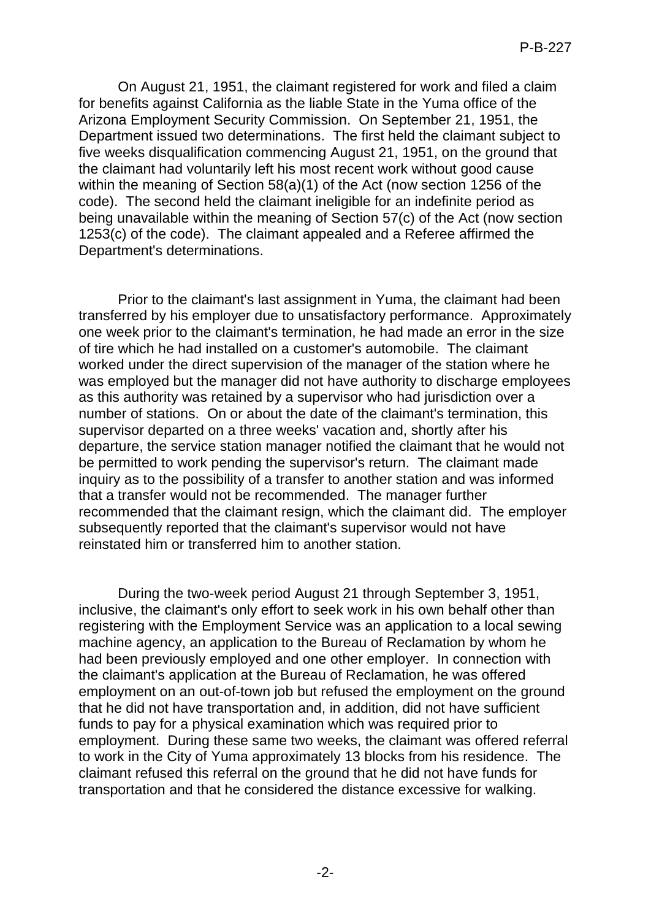On August 21, 1951, the claimant registered for work and filed a claim for benefits against California as the liable State in the Yuma office of the Arizona Employment Security Commission. On September 21, 1951, the Department issued two determinations. The first held the claimant subject to five weeks disqualification commencing August 21, 1951, on the ground that the claimant had voluntarily left his most recent work without good cause within the meaning of Section 58(a)(1) of the Act (now section 1256 of the code). The second held the claimant ineligible for an indefinite period as being unavailable within the meaning of Section 57(c) of the Act (now section 1253(c) of the code). The claimant appealed and a Referee affirmed the Department's determinations.

Prior to the claimant's last assignment in Yuma, the claimant had been transferred by his employer due to unsatisfactory performance. Approximately one week prior to the claimant's termination, he had made an error in the size of tire which he had installed on a customer's automobile. The claimant worked under the direct supervision of the manager of the station where he was employed but the manager did not have authority to discharge employees as this authority was retained by a supervisor who had jurisdiction over a number of stations. On or about the date of the claimant's termination, this supervisor departed on a three weeks' vacation and, shortly after his departure, the service station manager notified the claimant that he would not be permitted to work pending the supervisor's return. The claimant made inquiry as to the possibility of a transfer to another station and was informed that a transfer would not be recommended. The manager further recommended that the claimant resign, which the claimant did. The employer subsequently reported that the claimant's supervisor would not have reinstated him or transferred him to another station.

During the two-week period August 21 through September 3, 1951, inclusive, the claimant's only effort to seek work in his own behalf other than registering with the Employment Service was an application to a local sewing machine agency, an application to the Bureau of Reclamation by whom he had been previously employed and one other employer. In connection with the claimant's application at the Bureau of Reclamation, he was offered employment on an out-of-town job but refused the employment on the ground that he did not have transportation and, in addition, did not have sufficient funds to pay for a physical examination which was required prior to employment. During these same two weeks, the claimant was offered referral to work in the City of Yuma approximately 13 blocks from his residence. The claimant refused this referral on the ground that he did not have funds for transportation and that he considered the distance excessive for walking.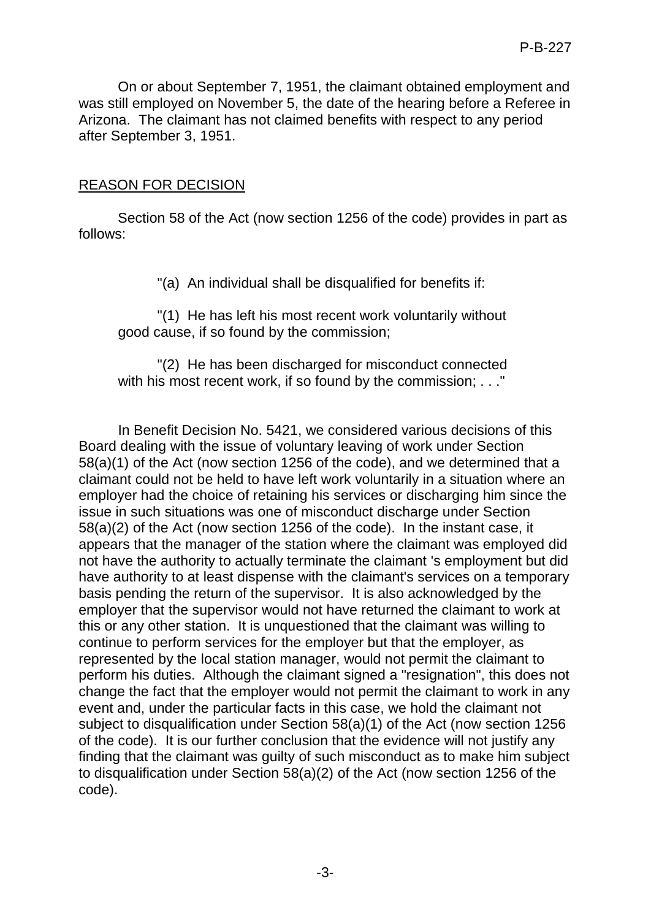On or about September 7, 1951, the claimant obtained employment and was still employed on November 5, the date of the hearing before a Referee in Arizona. The claimant has not claimed benefits with respect to any period after September 3, 1951.

## REASON FOR DECISION

Section 58 of the Act (now section 1256 of the code) provides in part as follows:

"(a) An individual shall be disqualified for benefits if:

"(1) He has left his most recent work voluntarily without good cause, if so found by the commission;

"(2) He has been discharged for misconduct connected with his most recent work, if so found by the commission; . . . "

In Benefit Decision No. 5421, we considered various decisions of this Board dealing with the issue of voluntary leaving of work under Section 58(a)(1) of the Act (now section 1256 of the code), and we determined that a claimant could not be held to have left work voluntarily in a situation where an employer had the choice of retaining his services or discharging him since the issue in such situations was one of misconduct discharge under Section 58(a)(2) of the Act (now section 1256 of the code). In the instant case, it appears that the manager of the station where the claimant was employed did not have the authority to actually terminate the claimant 's employment but did have authority to at least dispense with the claimant's services on a temporary basis pending the return of the supervisor. It is also acknowledged by the employer that the supervisor would not have returned the claimant to work at this or any other station. It is unquestioned that the claimant was willing to continue to perform services for the employer but that the employer, as represented by the local station manager, would not permit the claimant to perform his duties. Although the claimant signed a "resignation", this does not change the fact that the employer would not permit the claimant to work in any event and, under the particular facts in this case, we hold the claimant not subject to disqualification under Section 58(a)(1) of the Act (now section 1256 of the code). It is our further conclusion that the evidence will not justify any finding that the claimant was guilty of such misconduct as to make him subject to disqualification under Section 58(a)(2) of the Act (now section 1256 of the code).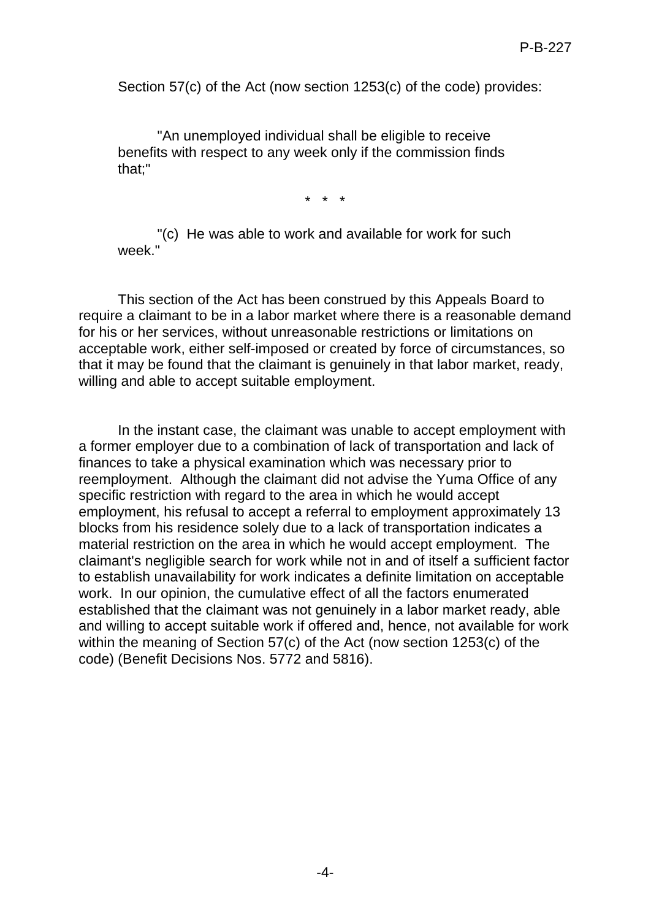Section 57(c) of the Act (now section 1253(c) of the code) provides:

"An unemployed individual shall be eligible to receive benefits with respect to any week only if the commission finds that;"

\* \* \*

"(c) He was able to work and available for work for such week."

This section of the Act has been construed by this Appeals Board to require a claimant to be in a labor market where there is a reasonable demand for his or her services, without unreasonable restrictions or limitations on acceptable work, either self-imposed or created by force of circumstances, so that it may be found that the claimant is genuinely in that labor market, ready, willing and able to accept suitable employment.

In the instant case, the claimant was unable to accept employment with a former employer due to a combination of lack of transportation and lack of finances to take a physical examination which was necessary prior to reemployment. Although the claimant did not advise the Yuma Office of any specific restriction with regard to the area in which he would accept employment, his refusal to accept a referral to employment approximately 13 blocks from his residence solely due to a lack of transportation indicates a material restriction on the area in which he would accept employment. The claimant's negligible search for work while not in and of itself a sufficient factor to establish unavailability for work indicates a definite limitation on acceptable work. In our opinion, the cumulative effect of all the factors enumerated established that the claimant was not genuinely in a labor market ready, able and willing to accept suitable work if offered and, hence, not available for work within the meaning of Section 57(c) of the Act (now section 1253(c) of the code) (Benefit Decisions Nos. 5772 and 5816).